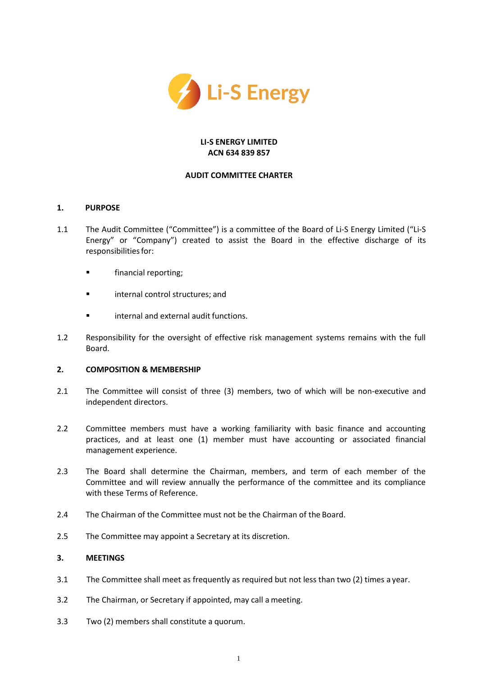

### **LI-S ENERGY LIMITED ACN 634 839 857**

### **AUDIT COMMITTEE CHARTER**

## **1. PURPOSE**

- 1.1 The Audit Committee ("Committee") is a committee of the Board of Li-S Energy Limited ("Li-S Energy" or "Company") created to assist the Board in the effective discharge of its responsibilities for:
	- **■** financial reporting;
	- internal control structures; and
	- internal and external audit functions.
- 1.2 Responsibility for the oversight of effective risk management systems remains with the full Board.

#### **2. COMPOSITION & MEMBERSHIP**

- 2.1 The Committee will consist of three (3) members, two of which will be non-executive and independent directors.
- 2.2 Committee members must have a working familiarity with basic finance and accounting practices, and at least one (1) member must have accounting or associated financial management experience.
- 2.3 The Board shall determine the Chairman, members, and term of each member of the Committee and will review annually the performance of the committee and its compliance with these Terms of Reference.
- 2.4 The Chairman of the Committee must not be the Chairman of the Board.
- 2.5 The Committee may appoint a Secretary at its discretion.

# **3. MEETINGS**

- 3.1 The Committee shall meet as frequently as required but not less than two (2) times a year.
- 3.2 The Chairman, or Secretary if appointed, may call a meeting.
- 3.3 Two (2) members shall constitute a quorum.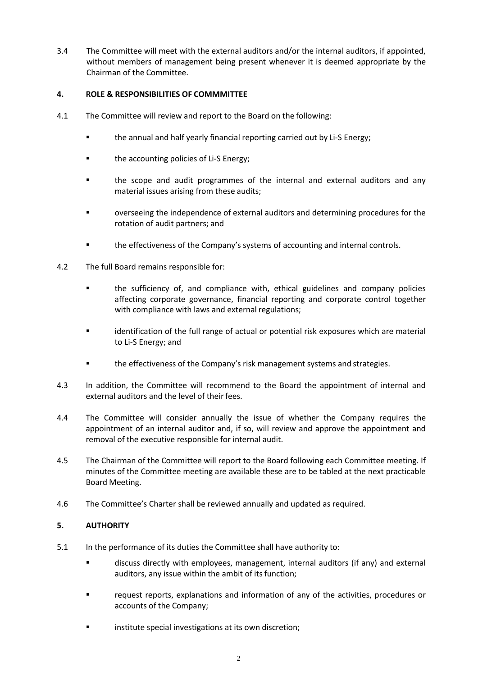3.4 The Committee will meet with the external auditors and/or the internal auditors, if appointed, without members of management being present whenever it is deemed appropriate by the Chairman of the Committee.

## **4. ROLE & RESPONSIBILITIES OF COMMMITTEE**

- 4.1 The Committee will review and report to the Board on the following:
	- the annual and half yearly financial reporting carried out by Li-S Energy;
	- the accounting policies of Li-S Energy;
	- the scope and audit programmes of the internal and external auditors and any material issues arising from these audits;
	- overseeing the independence of external auditors and determining procedures for the rotation of audit partners; and
	- **•** the effectiveness of the Company's systems of accounting and internal controls.
- 4.2 The full Board remains responsible for:
	- the sufficiency of, and compliance with, ethical guidelines and company policies affecting corporate governance, financial reporting and corporate control together with compliance with laws and external regulations;
	- identification of the full range of actual or potential risk exposures which are material to Li-S Energy; and
	- **■** the effectiveness of the Company's risk management systems and strategies.
- 4.3 In addition, the Committee will recommend to the Board the appointment of internal and external auditors and the level of their fees.
- 4.4 The Committee will consider annually the issue of whether the Company requires the appointment of an internal auditor and, if so, will review and approve the appointment and removal of the executive responsible for internal audit.
- 4.5 The Chairman of the Committee will report to the Board following each Committee meeting. If minutes of the Committee meeting are available these are to be tabled at the next practicable Board Meeting.
- 4.6 The Committee's Charter shall be reviewed annually and updated as required.

## **5. AUTHORITY**

- 5.1 In the performance of its duties the Committee shall have authority to:
	- discuss directly with employees, management, internal auditors (if any) and external auditors, any issue within the ambit of its function;
	- request reports, explanations and information of any of the activities, procedures or accounts of the Company;
	- institute special investigations at its own discretion;